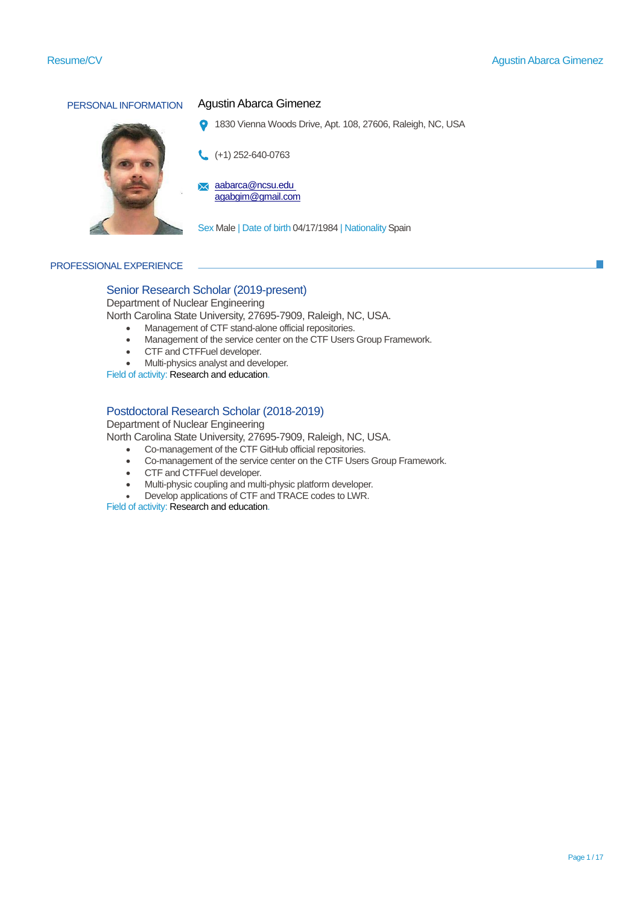

# PERSONAL INFORMATION Agustin Abarca Gimenez

1830 Vienna Woods Drive, Apt. 108, 27606, Raleigh, NC, USA  $\bullet$ 

(+1) 252-640-0763

[aabarca@ncsu.edu](mailto:aabarca@ncsu.edu) agabgim@gmail.com

Sex Male | Date of birth 04/17/1984 | Nationality Spain

### PROFESSIONAL EXPERIENCE

# Senior Research Scholar (2019-present)

Department of Nuclear Engineering

North Carolina State University, 27695-7909, Raleigh, NC, USA.

- Management of CTF stand-alone official repositories.
- Management of the service center on the CTF Users Group Framework.
- CTF and CTFFuel developer.
- Multi-physics analyst and developer.

Field of activity: Research and education.

# Postdoctoral Research Scholar (2018-2019)

Department of Nuclear Engineering

North Carolina State University, 27695-7909, Raleigh, NC, USA.

- Co-management of the CTF GitHub official repositories.
- Co-management of the service center on the CTF Users Group Framework.
- CTF and CTFFuel developer.
- Multi-physic coupling and multi-physic platform developer.
- Develop applications of CTF and TRACE codes to LWR.

Field of activity: Research and education.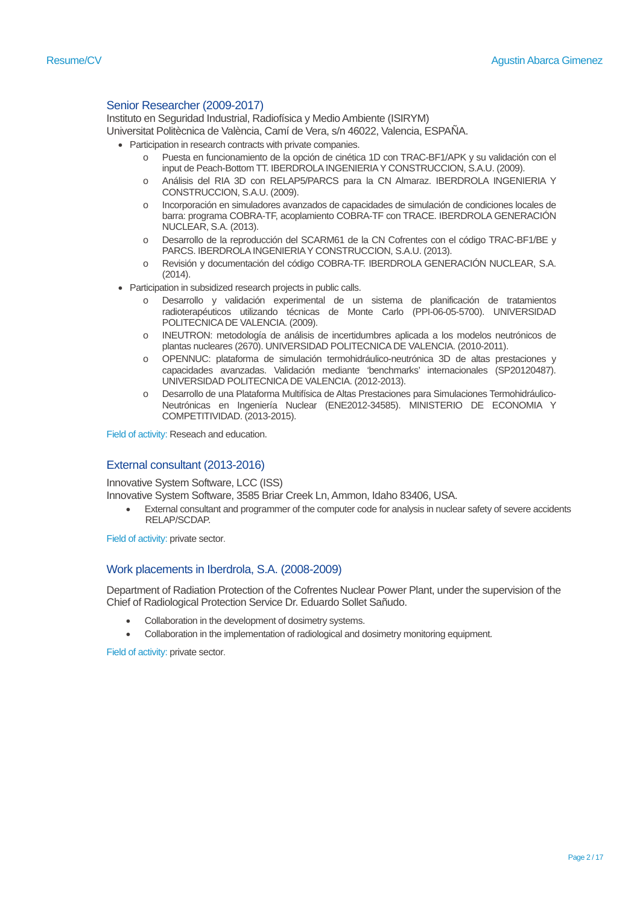# Senior Researcher (2009-2017)

Instituto en Seguridad Industrial, Radiofísica y Medio Ambiente (ISIRYM) Universitat Politècnica de València, Camí de Vera, s/n 46022, Valencia, ESPAÑA.

- Participation in research contracts with private companies.
	- o Puesta en funcionamiento de la opción de cinética 1D con TRAC-BF1/APK y su validación con el input de Peach-Bottom TT. IBERDROLA INGENIERIA Y CONSTRUCCION, S.A.U. (2009).
	- o Análisis del RIA 3D con RELAP5/PARCS para la CN Almaraz. IBERDROLA INGENIERIA Y CONSTRUCCION, S.A.U. (2009).
	- o Incorporación en simuladores avanzados de capacidades de simulación de condiciones locales de barra: programa COBRA-TF, acoplamiento COBRA-TF con TRACE. IBERDROLA GENERACIÓN NUCLEAR, S.A. (2013).
	- o Desarrollo de la reproducción del SCARM61 de la CN Cofrentes con el código TRAC-BF1/BE y PARCS. IBERDROLA INGENIERIA Y CONSTRUCCION, S.A.U. (2013).
	- o Revisión y documentación del código COBRA-TF. IBERDROLA GENERACIÓN NUCLEAR, S.A. (2014).
- Participation in subsidized research projects in public calls.
	- Desarrollo y validación experimental de un sistema de planificación de tratamientos radioterapéuticos utilizando técnicas de Monte Carlo (PPI-06-05-5700). UNIVERSIDAD POLITECNICA DE VALENCIA. (2009).
	- o INEUTRON: metodología de análisis de incertidumbres aplicada a los modelos neutrónicos de plantas nucleares (2670). UNIVERSIDAD POLITECNICA DE VALENCIA. (2010-2011).
	- o OPENNUC: plataforma de simulación termohidráulico-neutrónica 3D de altas prestaciones y capacidades avanzadas. Validación mediante 'benchmarks' internacionales (SP20120487). UNIVERSIDAD POLITECNICA DE VALENCIA. (2012-2013).
	- Desarrollo de una Plataforma Multifísica de Altas Prestaciones para Simulaciones Termohidráulico-Neutrónicas en Ingeniería Nuclear (ENE2012-34585). MINISTERIO DE ECONOMIA Y COMPETITIVIDAD. (2013-2015).

Field of activity: Reseach and education.

## External consultant (2013-2016)

Innovative System Software, LCC (ISS)

Innovative System Software, 3585 Briar Creek Ln, Ammon, Idaho 83406, USA.

• External consultant and programmer of the computer code for analysis in nuclear safety of severe accidents RELAP/SCDAP.

Field of activity: private sector.

## Work placements in Iberdrola, S.A. (2008-2009)

Department of Radiation Protection of the Cofrentes Nuclear Power Plant, under the supervision of the Chief of Radiological Protection Service Dr. Eduardo Sollet Sañudo.

- Collaboration in the development of dosimetry systems.
- Collaboration in the implementation of radiological and dosimetry monitoring equipment.

Field of activity: private sector.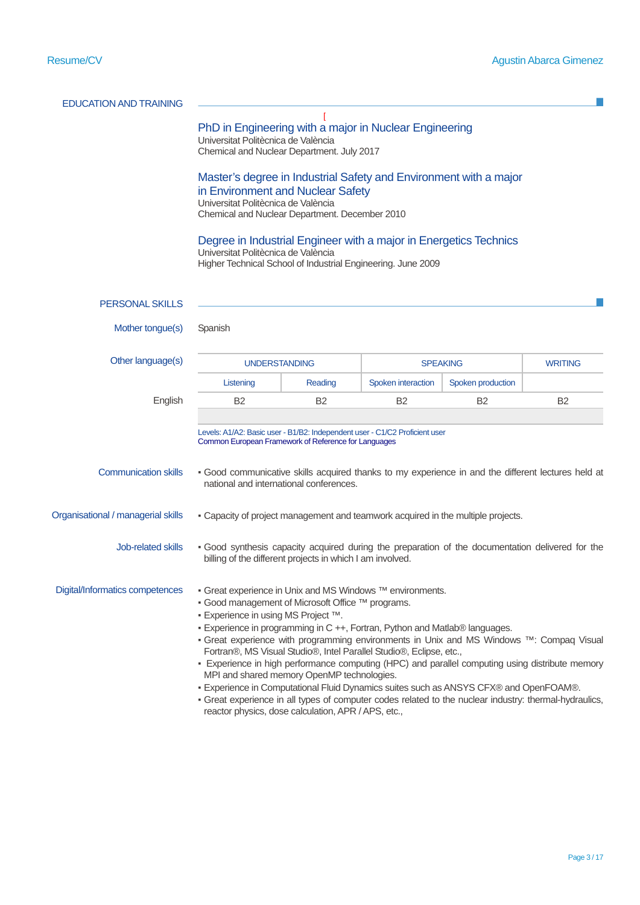| <b>EDUCATION AND TRAINING</b>      |                                                                                                                                                                                                                                                                                                                                                                                                                                                                                                                                                                                                                                                                                                                                                                                                                    |           |                    |                   |                |
|------------------------------------|--------------------------------------------------------------------------------------------------------------------------------------------------------------------------------------------------------------------------------------------------------------------------------------------------------------------------------------------------------------------------------------------------------------------------------------------------------------------------------------------------------------------------------------------------------------------------------------------------------------------------------------------------------------------------------------------------------------------------------------------------------------------------------------------------------------------|-----------|--------------------|-------------------|----------------|
|                                    | PhD in Engineering with a major in Nuclear Engineering<br>Universitat Politècnica de València<br>Chemical and Nuclear Department. July 2017<br>Master's degree in Industrial Safety and Environment with a major<br>in Environment and Nuclear Safety<br>Universitat Politècnica de València<br>Chemical and Nuclear Department. December 2010<br>Degree in Industrial Engineer with a major in Energetics Technics                                                                                                                                                                                                                                                                                                                                                                                                |           |                    |                   |                |
|                                    | Universitat Politècnica de València<br>Higher Technical School of Industrial Engineering. June 2009                                                                                                                                                                                                                                                                                                                                                                                                                                                                                                                                                                                                                                                                                                                |           |                    |                   |                |
|                                    |                                                                                                                                                                                                                                                                                                                                                                                                                                                                                                                                                                                                                                                                                                                                                                                                                    |           |                    |                   |                |
| <b>PERSONAL SKILLS</b>             |                                                                                                                                                                                                                                                                                                                                                                                                                                                                                                                                                                                                                                                                                                                                                                                                                    |           |                    |                   |                |
| Mother tongue(s)                   | Spanish                                                                                                                                                                                                                                                                                                                                                                                                                                                                                                                                                                                                                                                                                                                                                                                                            |           |                    |                   |                |
| Other language(s)                  | <b>UNDERSTANDING</b>                                                                                                                                                                                                                                                                                                                                                                                                                                                                                                                                                                                                                                                                                                                                                                                               |           | <b>SPEAKING</b>    |                   | <b>WRITING</b> |
|                                    | Listening                                                                                                                                                                                                                                                                                                                                                                                                                                                                                                                                                                                                                                                                                                                                                                                                          | Reading   | Spoken interaction | Spoken production |                |
| English                            | <b>B2</b>                                                                                                                                                                                                                                                                                                                                                                                                                                                                                                                                                                                                                                                                                                                                                                                                          | <b>B2</b> | B <sub>2</sub>     | <b>B2</b>         | <b>B2</b>      |
| <b>Communication skills</b>        | Levels: A1/A2: Basic user - B1/B2: Independent user - C1/C2 Proficient user<br>Common European Framework of Reference for Languages<br>. Good communicative skills acquired thanks to my experience in and the different lectures held at<br>national and international conferences.                                                                                                                                                                                                                                                                                                                                                                                                                                                                                                                               |           |                    |                   |                |
|                                    |                                                                                                                                                                                                                                                                                                                                                                                                                                                                                                                                                                                                                                                                                                                                                                                                                    |           |                    |                   |                |
| Organisational / managerial skills | - Capacity of project management and teamwork acquired in the multiple projects.                                                                                                                                                                                                                                                                                                                                                                                                                                                                                                                                                                                                                                                                                                                                   |           |                    |                   |                |
| Job-related skills                 | · Good synthesis capacity acquired during the preparation of the documentation delivered for the<br>billing of the different projects in which I am involved.                                                                                                                                                                                                                                                                                                                                                                                                                                                                                                                                                                                                                                                      |           |                    |                   |                |
| Digital/Informatics competences    | ■ Great experience in Unix and MS Windows ™ environments.<br>■ Good management of Microsoft Office ™ programs.<br>■ Experience in using MS Project ™.<br>· Experience in programming in C ++, Fortran, Python and Matlab® languages.<br>• Great experience with programming environments in Unix and MS Windows ™: Compaq Visual<br>Fortran®, MS Visual Studio®, Intel Parallel Studio®, Eclipse, etc.,<br>- Experience in high performance computing (HPC) and parallel computing using distribute memory<br>MPI and shared memory OpenMP technologies.<br>- Experience in Computational Fluid Dynamics suites such as ANSYS CFX® and OpenFOAM®.<br>- Great experience in all types of computer codes related to the nuclear industry: thermal-hydraulics,<br>reactor physics, dose calculation, APR / APS, etc., |           |                    |                   |                |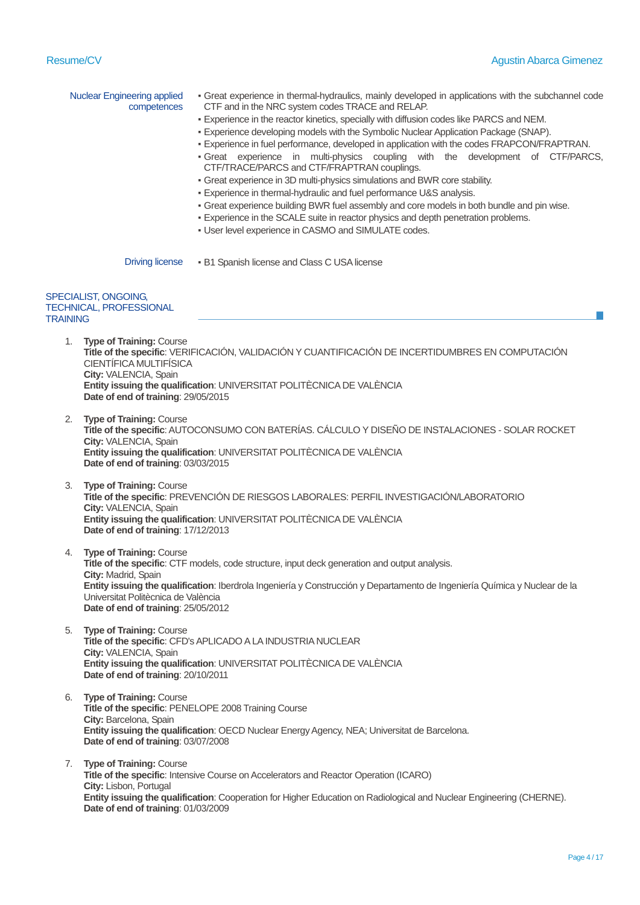**Date of end of training**: 01/03/2009

|                 | <b>Nuclear Engineering applied</b><br>competences                                                                                                                                                                                                                          | - Great experience in thermal-hydraulics, mainly developed in applications with the subchannel code<br>CTF and in the NRC system codes TRACE and RELAP.<br>- Experience in the reactor kinetics, specially with diffusion codes like PARCS and NEM.<br>- Experience developing models with the Symbolic Nuclear Application Package (SNAP).<br>- Experience in fuel performance, developed in application with the codes FRAPCON/FRAPTRAN.<br>· Great experience in multi-physics coupling with the development of CTF/PARCS,<br>CTF/TRACE/PARCS and CTF/FRAPTRAN couplings.<br>• Great experience in 3D multi-physics simulations and BWR core stability.<br>- Experience in thermal-hydraulic and fuel performance U&S analysis.<br>- Great experience building BWR fuel assembly and core models in both bundle and pin wise.<br>- Experience in the SCALE suite in reactor physics and depth penetration problems.<br>. User level experience in CASMO and SIMULATE codes. |  |  |  |
|-----------------|----------------------------------------------------------------------------------------------------------------------------------------------------------------------------------------------------------------------------------------------------------------------------|--------------------------------------------------------------------------------------------------------------------------------------------------------------------------------------------------------------------------------------------------------------------------------------------------------------------------------------------------------------------------------------------------------------------------------------------------------------------------------------------------------------------------------------------------------------------------------------------------------------------------------------------------------------------------------------------------------------------------------------------------------------------------------------------------------------------------------------------------------------------------------------------------------------------------------------------------------------------------------|--|--|--|
|                 | <b>Driving license</b>                                                                                                                                                                                                                                                     | · B1 Spanish license and Class C USA license                                                                                                                                                                                                                                                                                                                                                                                                                                                                                                                                                                                                                                                                                                                                                                                                                                                                                                                                   |  |  |  |
| <b>TRAINING</b> | SPECIALIST, ONGOING,<br>TECHNICAL, PROFESSIONAL                                                                                                                                                                                                                            |                                                                                                                                                                                                                                                                                                                                                                                                                                                                                                                                                                                                                                                                                                                                                                                                                                                                                                                                                                                |  |  |  |
| 1.              | <b>Type of Training: Course</b><br>CIENTÍFICA MULTIFÍSICA<br>City: VALENCIA, Spain<br>Date of end of training: 29/05/2015                                                                                                                                                  | Title of the specific: VERIFICACIÓN, VALIDACIÓN Y CUANTIFICACIÓN DE INCERTIDUMBRES EN COMPUTACIÓN<br>Entity issuing the qualification: UNIVERSITAT POLITÈCNICA DE VALÈNCIA                                                                                                                                                                                                                                                                                                                                                                                                                                                                                                                                                                                                                                                                                                                                                                                                     |  |  |  |
|                 | 2. Type of Training: Course<br>City: VALENCIA, Spain<br>Date of end of training: 03/03/2015                                                                                                                                                                                | Title of the specific: AUTOCONSUMO CON BATERÍAS. CÁLCULO Y DISEÑO DE INSTALACIONES - SOLAR ROCKET<br>Entity issuing the qualification: UNIVERSITAT POLITECNICA DE VALENCIA                                                                                                                                                                                                                                                                                                                                                                                                                                                                                                                                                                                                                                                                                                                                                                                                     |  |  |  |
| 3.              | <b>Type of Training: Course</b><br>City: VALENCIA, Spain<br>Date of end of training: 17/12/2013                                                                                                                                                                            | Title of the specific: PREVENCIÓN DE RIESGOS LABORALES: PERFIL INVESTIGACIÓN/LABORATORIO<br>Entity issuing the qualification: UNIVERSITAT POLITÈCNICA DE VALÈNCIA                                                                                                                                                                                                                                                                                                                                                                                                                                                                                                                                                                                                                                                                                                                                                                                                              |  |  |  |
| 4.              | <b>Type of Training: Course</b><br>City: Madrid, Spain<br>Universitat Politècnica de València<br>Date of end of training: 25/05/2012                                                                                                                                       | Title of the specific: CTF models, code structure, input deck generation and output analysis.<br>Entity issuing the qualification: Iberdrola Ingeniería y Construcción y Departamento de Ingeniería Química y Nuclear de la                                                                                                                                                                                                                                                                                                                                                                                                                                                                                                                                                                                                                                                                                                                                                    |  |  |  |
|                 | 5. Type of Training: Course<br>City: VALENCIA, Spain<br>Date of end of training: 20/10/2011                                                                                                                                                                                | Title of the specific: CFD's APLICADO A LA INDUSTRIA NUCLEAR<br>Entity issuing the qualification: UNIVERSITAT POLITECNICA DE VALENCIA                                                                                                                                                                                                                                                                                                                                                                                                                                                                                                                                                                                                                                                                                                                                                                                                                                          |  |  |  |
| 6.              | <b>Type of Training: Course</b><br>Title of the specific: PENELOPE 2008 Training Course<br>City: Barcelona, Spain<br>Entity issuing the qualification: OECD Nuclear Energy Agency, NEA; Universitat de Barcelona.<br>Date of end of training: 03/07/2008                   |                                                                                                                                                                                                                                                                                                                                                                                                                                                                                                                                                                                                                                                                                                                                                                                                                                                                                                                                                                                |  |  |  |
| 7.              | <b>Type of Training: Course</b><br>Title of the specific: Intensive Course on Accelerators and Reactor Operation (ICARO)<br>City: Lisbon, Portugal<br>Entity issuing the qualification: Cooperation for Higher Education on Radiological and Nuclear Engineering (CHERNE). |                                                                                                                                                                                                                                                                                                                                                                                                                                                                                                                                                                                                                                                                                                                                                                                                                                                                                                                                                                                |  |  |  |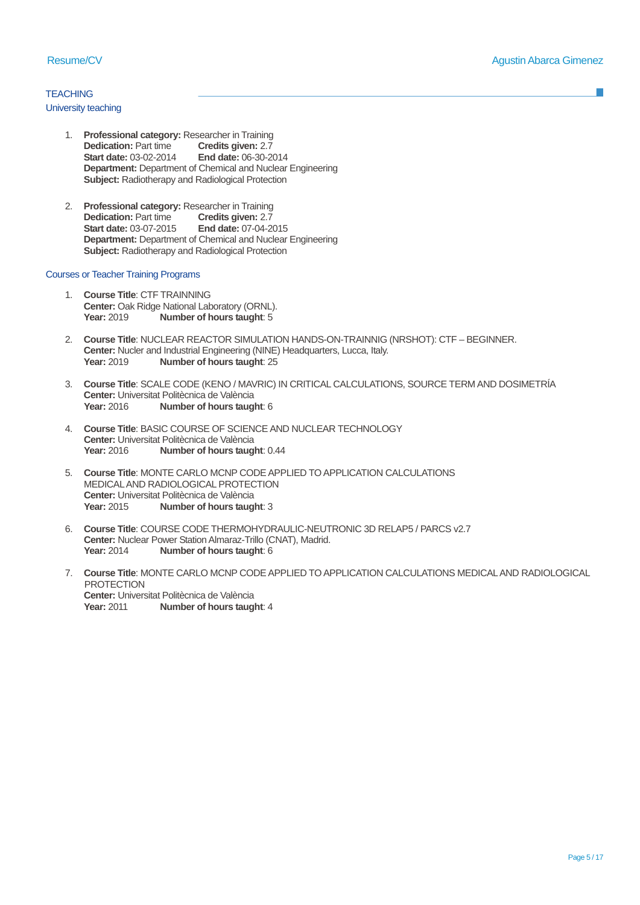# **TEACHING**

### University teaching

- 1. **Professional category:** Researcher in Training<br>Dedication: Part time<br>**Credits given:** 2.7 **Dedication:** Part time **Credits given:** 2.7<br>**Start date:** 03-02-2014 **End date:** 06-30-2014 **Start date: 03-02-2014 Department:** Department of Chemical and Nuclear Engineering **Subject:** Radiotherapy and Radiological Protection
- 2. **Professional category:** Researcher in Training **Dedication:** Part time<br>**Start date:** 03-07-2015 **Start date:** 03-07-2015 **End date:** 07-04-2015 **Department:** Department of Chemical and Nuclear Engineering **Subject:** Radiotherapy and Radiological Protection

## Courses or Teacher Training Programs

- 1. **Course Title**: CTF TRAINNING **Center: Oak Ridge National Laboratory (ORNL).**<br>**Year: 2019 Number of hours taught: 5 Number of hours taught: 5**
- 2. **Course Title**: NUCLEAR REACTOR SIMULATION HANDS-ON-TRAINNIG (NRSHOT): CTF BEGINNER. **Center:** Nucler and Industrial Engineering (NINE) Headquarters, Lucca, Italy.<br>Year: 2019 **Number of hours taught**: 25 **Number of hours taught: 25**
- 3. **Course Title**: SCALE CODE (KENO / MAVRIC) IN CRITICAL CALCULATIONS, SOURCE TERM AND DOSIMETRÍA **Center:** Universitat Politècnica de València<br>
Year: 2016 **Number of hours taud Number of hours taught: 6**
- 4. **Course Title**: BASIC COURSE OF SCIENCE AND NUCLEAR TECHNOLOGY **Center:** Universitat Politècnica de València<br>**Year:** 2016 **Number of hours tauglement Number of hours taught: 0.44**
- 5. **Course Title**: MONTE CARLO MCNP CODE APPLIED TO APPLICATION CALCULATIONS MEDICAL AND RADIOLOGICAL PROTECTION **Center:** Universitat Politècnica de València<br>
Year: 2015 **Number of hours taud Number of hours taught: 3**
- 6. **Course Title**: COURSE CODE THERMOHYDRAULIC-NEUTRONIC 3D RELAP5 / PARCS v2.7 **Center: Nuclear Power Station Almaraz-Trillo (CNAT), Madrid.<br>Year: 2014 Number of hours taught: 6 Number of hours taught: 6**
- 7. **Course Title**: MONTE CARLO MCNP CODE APPLIED TO APPLICATION CALCULATIONS MEDICAL AND RADIOLOGICAL **PROTECTION Center:** Universitat Politècnica de València<br>
Year: 2011 **Number of hours taud Number of hours taught: 4**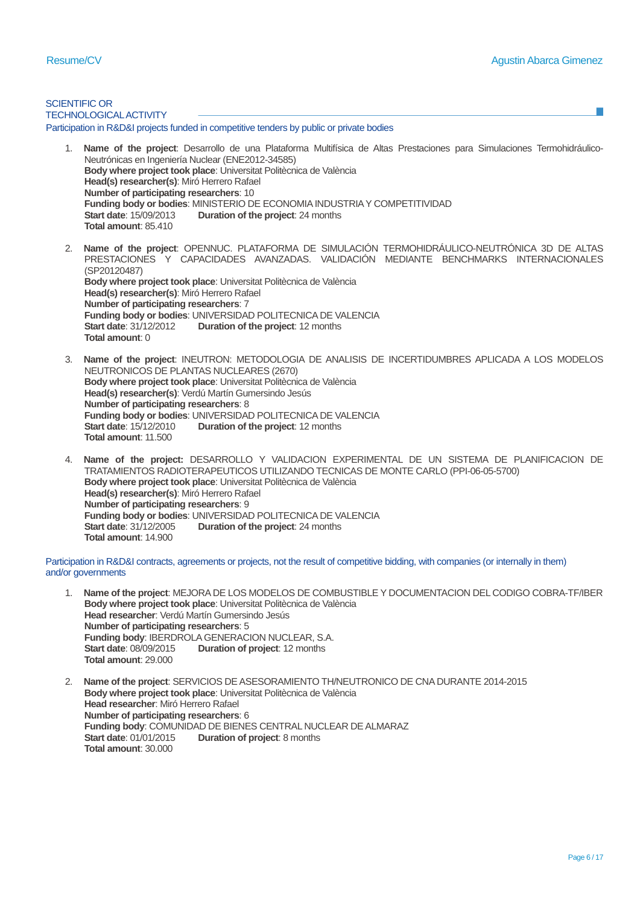SCIENTIFIC OR TECHNOLOGICAL ACTIVITY 1. **Name of the project**: Desarrollo de una Plataforma Multifísica de Altas Prestaciones para Simulaciones Termohidráulico-Neutrónicas en Ingeniería Nuclear (ENE2012-34585) **Body where project took place**: Universitat Politècnica de València **Head(s) researcher(s)**: Miró Herrero Rafael **Number of participating researchers**: 10 **Funding body or bodies:** MINISTERIO DE ECONOMIA INDUSTRIA Y COMPETITIVIDAD<br>Start date: 15/09/2013 **Duration of the project:** 24 months **Duration of the project: 24 months Total amount**: 85.410 2. **Name of the project**: OPENNUC. PLATAFORMA DE SIMULACIÓN TERMOHIDRÁULICO-NEUTRÓNICA 3D DE ALTAS PRESTACIONES Y CAPACIDADES AVANZADAS. VALIDACIÓN MEDIANTE BENCHMARKS INTERNACIONALES (SP20120487) **Body where project took place**: Universitat Politècnica de València **Head(s) researcher(s)**: Miró Herrero Rafael **Number of participating researchers**: 7 **Funding body or bodies: UNIVERSIDAD POLITECNICA DE VALENCIA**<br>**Start date: 31/12/2012 Duration of the project: 12 months Duration of the project: 12 months Total amount**: 0 3. **Name of the project**: INEUTRON: METODOLOGIA DE ANALISIS DE INCERTIDUMBRES APLICADA A LOS MODELOS NEUTRONICOS DE PLANTAS NUCLEARES (2670) **Body where project took place**: Universitat Politècnica de València **Head(s) researcher(s)**: Verdú Martín Gumersindo Jesús **Number of participating researchers**: 8 **Funding body or bodies: UNIVERSIDAD POLITECNICA DE VALENCIA**<br>Start date: 15/12/2010 **Duration of the project:** 12 months **Duration of the project: 12 months Total amount**: 11.500 4. **Name of the project:** DESARROLLO Y VALIDACION EXPERIMENTAL DE UN SISTEMA DE PLANIFICACION DE TRATAMIENTOS RADIOTERAPEUTICOS UTILIZANDO TECNICAS DE MONTE CARLO (PPI-06-05-5700) **Body where project took place**: Universitat Politècnica de València **Head(s) researcher(s)**: Miró Herrero Rafael **Number of participating researchers**: 9 Participation in R&D&I projects funded in competitive tenders by public or private bodies

**Funding body or bodies: UNIVERSIDAD POLITECNICA DE VALENCIA**<br>Start date: 31/12/2005 **Duration of the project:** 24 months **Duration of the project: 24 months Total amount**: 14.900

Participation in R&D&I contracts, agreements or projects, not the result of competitive bidding, with companies (or internally in them) and/or governments

- 1. **Name of the project**: MEJORA DE LOS MODELOS DE COMBUSTIBLE Y DOCUMENTACION DEL CODIGO COBRA-TF/IBER **Body where project took place**: Universitat Politècnica de València **Head researcher**: Verdú Martín Gumersindo Jesús **Number of participating researchers**: 5 **Funding body: IBERDROLA GENERACION NUCLEAR, S.A.**<br>**Start date: 08/09/2015 Duration of project: 12 months Duration of project: 12 months Total amount**: 29.000
- 2. **Name of the project**: SERVICIOS DE ASESORAMIENTO TH/NEUTRONICO DE CNA DURANTE 2014-2015 **Body where project took place**: Universitat Politècnica de València **Head researcher**: Miró Herrero Rafael **Number of participating researchers**: 6 **Funding body: COMUNIDAD DE BIENES CENTRAL NUCLEAR DE ALMARAZ<br>Start date: 01/01/2015 <b>Duration of project:** 8 months **Duration of project: 8 months Total amount**: 30.000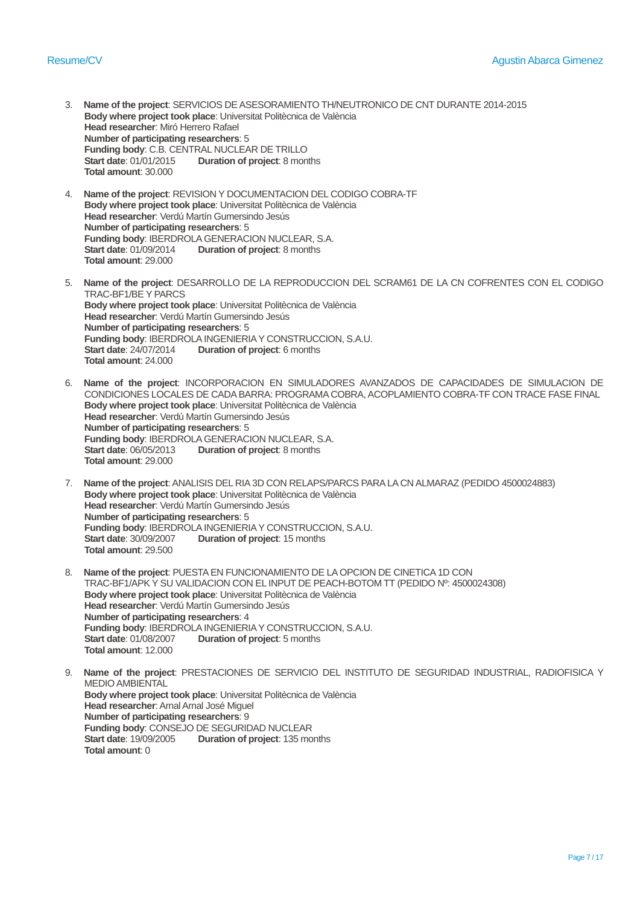- 3. **Name of the project**: SERVICIOS DE ASESORAMIENTO TH/NEUTRONICO DE CNT DURANTE 2014-2015 **Body where project took place**: Universitat Politècnica de València **Head researcher**: Miró Herrero Rafael **Number of participating researchers**: 5 **Funding body: C.B. CENTRAL NUCLEAR DE TRILLO**<br>**Start date: 01/01/2015 Duration of project: 8 mon Duration of project: 8 months Total amount**: 30.000
- 4. **Name of the project**: REVISION Y DOCUMENTACION DEL CODIGO COBRA-TF **Body where project took place**: Universitat Politècnica de València **Head researcher**: Verdú Martín Gumersindo Jesús **Number of participating researchers**: 5 **Funding body: IBERDROLA GENERACION NUCLEAR, S.A.**<br>**Start date: 01/09/2014 Duration of project: 8 months Duration of project: 8 months Total amount**: 29.000
- 5. **Name of the project**: DESARROLLO DE LA REPRODUCCION DEL SCRAM61 DE LA CN COFRENTES CON EL CODIGO TRAC-BF1/BE Y PARCS **Body where project took place**: Universitat Politècnica de València **Head researcher**: Verdú Martín Gumersindo Jesús **Number of participating researchers**: 5 **Funding body: IBERDROLA INGENIERIA Y CONSTRUCCION, S.A.U.**<br>**Start date: 24/07/2014 Duration of project:** 6 months **Duration of project: 6 months Total amount**: 24.000
- 6. **Name of the project**: INCORPORACION EN SIMULADORES AVANZADOS DE CAPACIDADES DE SIMULACION DE CONDICIONES LOCALES DE CADA BARRA: PROGRAMA COBRA, ACOPLAMIENTO COBRA-TF CON TRACE FASE FINAL **Body where project took place**: Universitat Politècnica de València **Head researcher**: Verdú Martín Gumersindo Jesús **Number of participating researchers**: 5 **Funding body: IBERDROLA GENERACION NUCLEAR, S.A.**<br>**Start date: 06/05/2013 Duration of project: 8 months Duration of project: 8 months Total amount**: 29.000
- 7. **Name of the project**: ANALISIS DEL RIA 3D CON RELAPS/PARCS PARA LA CN ALMARAZ (PEDIDO 4500024883) **Body where project took place**: Universitat Politècnica de València **Head researcher**: Verdú Martín Gumersindo Jesús **Number of participating researchers**: 5 **Funding body: IBERDROLA INGENIERIA Y CONSTRUCCION, S.A.U.**<br>**Start date: 30/09/2007 Duration of project: 15 months Duration of project: 15 months Total amount**: 29.500
- 8. **Name of the project**: PUESTA EN FUNCIONAMIENTO DE LA OPCION DE CINETICA 1D CON TRAC-BF1/APK Y SU VALIDACION CON EL INPUT DE PEACH-BOTOM TT (PEDIDO Nº: 4500024308) **Body where project took place**: Universitat Politècnica de València **Head researcher**: Verdú Martín Gumersindo Jesús **Number of participating researchers**: 4 **Funding body: IBERDROLA INGENIERIA Y CONSTRUCCION, S.A.U.**<br>Start date: 01/08/2007 **Duration of project:** 5 months **Duration of project:** 5 months **Total amount**: 12.000
- 9. **Name of the project**: PRESTACIONES DE SERVICIO DEL INSTITUTO DE SEGURIDAD INDUSTRIAL, RADIOFISICA Y MEDIO AMBIENTAL **Body where project took place**: Universitat Politècnica de València **Head researcher**: Arnal Arnal José Miguel **Number of participating researchers**: 9 **Funding body: CONSEJO DE SEGURIDAD NUCLEAR**<br>**Start date: 19/09/2005 Duration of project: 135 mo Duration of project: 135 months Total amount**: 0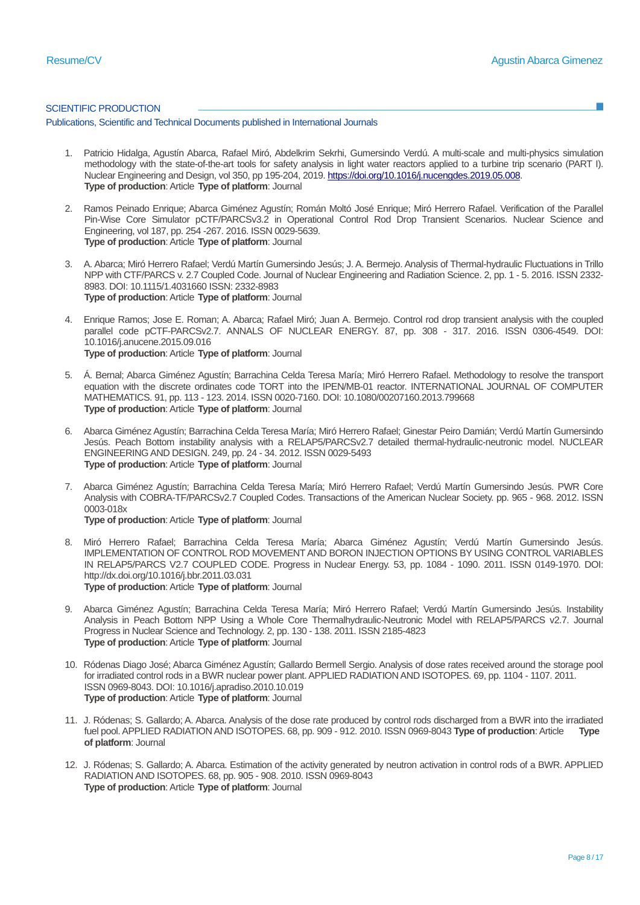#### SCIENTIFIC PRODUCTION

Publications, Scientific and Technical Documents published in International Journals

- 1. Patricio Hidalga, Agustín Abarca, Rafael Miró, Abdelkrim Sekrhi, Gumersindo Verdú. A multi-scale and multi-physics simulation methodology with the state-of-the-art tools for safety analysis in light water reactors applied to a turbine trip scenario (PART I). Nuclear Engineering and Design, vol 350, pp 195-204, 2019[. https://doi.org/10.1016/j.nucengdes.2019.05.008.](https://doi.org/10.1016/j.nucengdes.2019.05.008) **Type of production**: Article **Type of platform**: Journal
- 2. Ramos Peinado Enrique; Abarca Giménez Agustín; Román Moltó José Enrique; Miró Herrero Rafael. Verification of the Parallel Pin-Wise Core Simulator pCTF/PARCSv3.2 in Operational Control Rod Drop Transient Scenarios. Nuclear Science and Engineering, vol 187, pp. 254 -267. 2016. ISSN 0029-5639. **Type of production**: Article **Type of platform**: Journal
- 3. A. Abarca; Miró Herrero Rafael; Verdú Martín Gumersindo Jesús; J. A. Bermejo. Analysis of Thermal-hydraulic Fluctuations in Trillo NPP with CTF/PARCS v. 2.7 Coupled Code. Journal of Nuclear Engineering and Radiation Science. 2, pp. 1 - 5. 2016. ISSN 2332- 8983. DOI: 10.1115/1.4031660 ISSN: 2332-8983 **Type of production**: Article **Type of platform**: Journal
- 4. Enrique Ramos; Jose E. Roman; A. Abarca; Rafael Miró; Juan A. Bermejo. Control rod drop transient analysis with the coupled parallel code pCTF-PARCSv2.7. ANNALS OF NUCLEAR ENERGY. 87, pp. 308 - 317. 2016. ISSN 0306-4549. DOI: 10.1016/j.anucene.2015.09.016 **Type of production**: Article **Type of platform**: Journal
- 5. Á. Bernal; Abarca Giménez Agustín; Barrachina Celda Teresa María; Miró Herrero Rafael. Methodology to resolve the transport equation with the discrete ordinates code TORT into the IPEN/MB-01 reactor. INTERNATIONAL JOURNAL OF COMPUTER MATHEMATICS. 91, pp. 113 - 123. 2014. ISSN 0020-7160. DOI: 10.1080/00207160.2013.799668 **Type of production**: Article **Type of platform**: Journal
- 6. Abarca Giménez Agustín; Barrachina Celda Teresa María; Miró Herrero Rafael; Ginestar Peiro Damián; Verdú Martín Gumersindo Jesús. Peach Bottom instability analysis with a RELAP5/PARCSv2.7 detailed thermal-hydraulic-neutronic model. NUCLEAR ENGINEERING AND DESIGN. 249, pp. 24 - 34. 2012. ISSN 0029-5493 **Type of production**: Article **Type of platform**: Journal
- 7. Abarca Giménez Agustín; Barrachina Celda Teresa María; Miró Herrero Rafael; Verdú Martín Gumersindo Jesús. PWR Core Analysis with COBRA-TF/PARCSv2.7 Coupled Codes. Transactions of the American Nuclear Society. pp. 965 - 968. 2012. ISSN 0003-018x
	- **Type of production**: Article **Type of platform**: Journal
- 8. Miró Herrero Rafael; Barrachina Celda Teresa María; Abarca Giménez Agustín; Verdú Martín Gumersindo Jesús. IMPLEMENTATION OF CONTROL ROD MOVEMENT AND BORON INJECTION OPTIONS BY USING CONTROL VARIABLES IN RELAP5/PARCS V2.7 COUPLED CODE. Progress in Nuclear Energy. 53, pp. 1084 - 1090. 2011. ISSN 0149-1970. DOI: http://dx.doi.org/10.1016/j.bbr.2011.03.031 **Type of production**: Article **Type of platform**: Journal
- 9. Abarca Giménez Agustín; Barrachina Celda Teresa María; Miró Herrero Rafael; Verdú Martín Gumersindo Jesús. Instability Analysis in Peach Bottom NPP Using a Whole Core Thermalhydraulic-Neutronic Model with RELAP5/PARCS v2.7. Journal Progress in Nuclear Science and Technology. 2, pp. 130 - 138. 2011. ISSN 2185-4823 **Type of production**: Article **Type of platform**: Journal
- 10. Ródenas Diago José; Abarca Giménez Agustín; Gallardo Bermell Sergio. Analysis of dose rates received around the storage pool for irradiated control rods in a BWR nuclear power plant. APPLIED RADIATION AND ISOTOPES. 69, pp. 1104 - 1107. 2011. ISSN 0969-8043. DOI: 10.1016/j.apradiso.2010.10.019 **Type of production**: Article **Type of platform**: Journal
- 11. J. Ródenas; S. Gallardo; A. Abarca. Analysis of the dose rate produced by control rods discharged from a BWR into the irradiated fuel pool. APPLIED RADIATION AND ISOTOPES. 68, pp. 909 - 912. 2010. ISSN 0969-8043 **Type of production**: Article **Type of platform**: Journal
- 12. J. Ródenas; S. Gallardo; A. Abarca. Estimation of the activity generated by neutron activation in control rods of a BWR. APPLIED RADIATION AND ISOTOPES. 68, pp. 905 - 908. 2010. ISSN 0969-8043 **Type of production**: Article **Type of platform**: Journal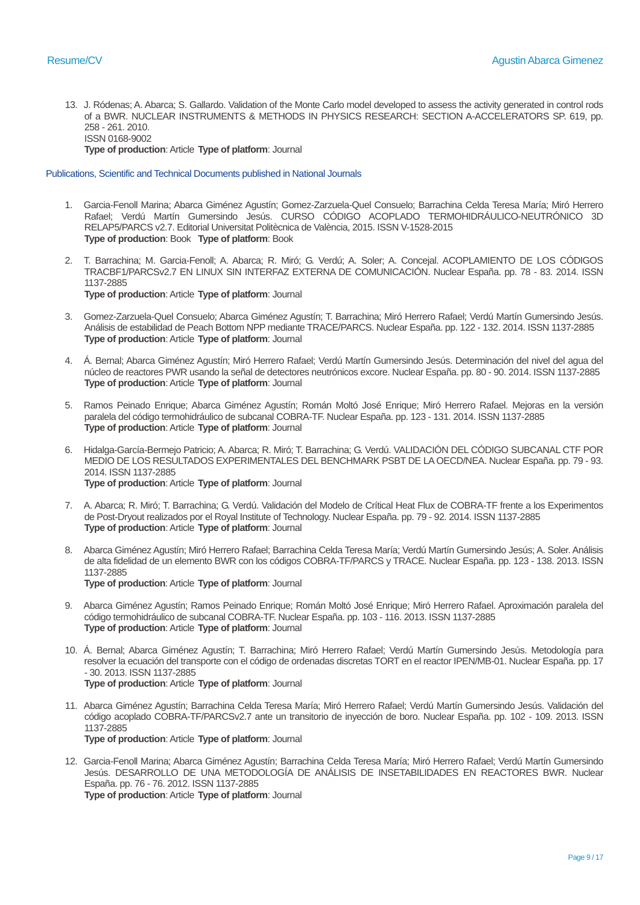13. J. Ródenas; A. Abarca; S. Gallardo. Validation of the Monte Carlo model developed to assess the activity generated in control rods of a BWR. NUCLEAR INSTRUMENTS & METHODS IN PHYSICS RESEARCH: SECTION A-ACCELERATORS SP. 619, pp. 258 - 261. 2010. ISSN 0168-9002

**Type of production**: Article **Type of platform**: Journal

Publications, Scientific and Technical Documents published in National Journals

- 1. Garcia-Fenoll Marina; Abarca Giménez Agustín; Gomez-Zarzuela-Quel Consuelo; Barrachina Celda Teresa María; Miró Herrero Rafael; Verdú Martín Gumersindo Jesús. CURSO CÓDIGO ACOPLADO TERMOHIDRÁULICO-NEUTRÓNICO 3D RELAP5/PARCS v2.7. Editorial Universitat Politècnica de València, 2015. ISSN V-1528-2015 **Type of production**: Book **Type of platform**: Book
- 2. T. Barrachina; M. Garcia-Fenoll; A. Abarca; R. Miró; G. Verdú; A. Soler; A. Concejal. ACOPLAMIENTO DE LOS CÓDIGOS TRACBF1/PARCSv2.7 EN LINUX SIN INTERFAZ EXTERNA DE COMUNICACIÓN. Nuclear España. pp. 78 - 83. 2014. ISSN 1137-2885 **Type of production**: Article **Type of platform**: Journal
- 3. Gomez-Zarzuela-Quel Consuelo; Abarca Giménez Agustín; T. Barrachina; Miró Herrero Rafael; Verdú Martín Gumersindo Jesús. Análisis de estabilidad de Peach Bottom NPP mediante TRACE/PARCS. Nuclear España. pp. 122 - 132. 2014. ISSN 1137-2885 **Type of production**: Article **Type of platform**: Journal
- 4. Á. Bernal; Abarca Giménez Agustín; Miró Herrero Rafael; Verdú Martín Gumersindo Jesús. Determinación del nivel del agua del núcleo de reactores PWR usando la señal de detectores neutrónicos excore. Nuclear España. pp. 80 - 90. 2014. ISSN 1137-2885 **Type of production**: Article **Type of platform**: Journal
- 5. Ramos Peinado Enrique; Abarca Giménez Agustín; Román Moltó José Enrique; Miró Herrero Rafael. Mejoras en la versión paralela del código termohidráulico de subcanal COBRA-TF. Nuclear España. pp. 123 - 131. 2014. ISSN 1137-2885 **Type of production**: Article **Type of platform**: Journal
- 6. Hidalga-García-Bermejo Patricio; A. Abarca; R. Miró; T. Barrachina; G. Verdú. VALIDACIÓN DEL CÓDIGO SUBCANAL CTF POR MEDIO DE LOS RESULTADOS EXPERIMENTALES DEL BENCHMARK PSBT DE LA OECD/NEA. Nuclear España. pp. 79 - 93. 2014. ISSN 1137-2885 **Type of production**: Article **Type of platform**: Journal
- 7. A. Abarca; R. Miró; T. Barrachina; G. Verdú. Validación del Modelo de Crítical Heat Flux de COBRA-TF frente a los Experimentos de Post-Dryout realizados por el Royal Institute of Technology. Nuclear España. pp. 79 - 92. 2014. ISSN 1137-2885 **Type of production**: Article **Type of platform**: Journal
- 8. Abarca Giménez Agustín; Miró Herrero Rafael; Barrachina Celda Teresa María; Verdú Martín Gumersindo Jesús; A. Soler. Análisis de alta fidelidad de un elemento BWR con los códigos COBRA-TF/PARCS y TRACE. Nuclear España. pp. 123 - 138. 2013. ISSN 1137-2885 **Type of production**: Article **Type of platform**: Journal
- 9. Abarca Giménez Agustín; Ramos Peinado Enrique; Román Moltó José Enrique; Miró Herrero Rafael. Aproximación paralela del código termohidráulico de subcanal COBRA-TF. Nuclear España. pp. 103 - 116. 2013. ISSN 1137-2885 **Type of production**: Article **Type of platform**: Journal
- 10. Á. Bernal; Abarca Giménez Agustín; T. Barrachina; Miró Herrero Rafael; Verdú Martín Gumersindo Jesús. Metodología para resolver la ecuación del transporte con el código de ordenadas discretas TORT en el reactor IPEN/MB-01. Nuclear España. pp. 17 - 30. 2013. ISSN 1137-2885 **Type of production**: Article **Type of platform**: Journal
- 11. Abarca Giménez Agustín; Barrachina Celda Teresa María; Miró Herrero Rafael; Verdú Martín Gumersindo Jesús. Validación del código acoplado COBRA-TF/PARCSv2.7 ante un transitorio de inyección de boro. Nuclear España. pp. 102 - 109. 2013. ISSN 1137-2885 **Type of production**: Article **Type of platform**: Journal
- 12. Garcia-Fenoll Marina; Abarca Giménez Agustín; Barrachina Celda Teresa María; Miró Herrero Rafael; Verdú Martín Gumersindo Jesús. DESARROLLO DE UNA METODOLOGÍA DE ANÁLISIS DE INSETABILIDADES EN REACTORES BWR. Nuclear España. pp. 76 - 76. 2012. ISSN 1137-2885 **Type of production**: Article **Type of platform**: Journal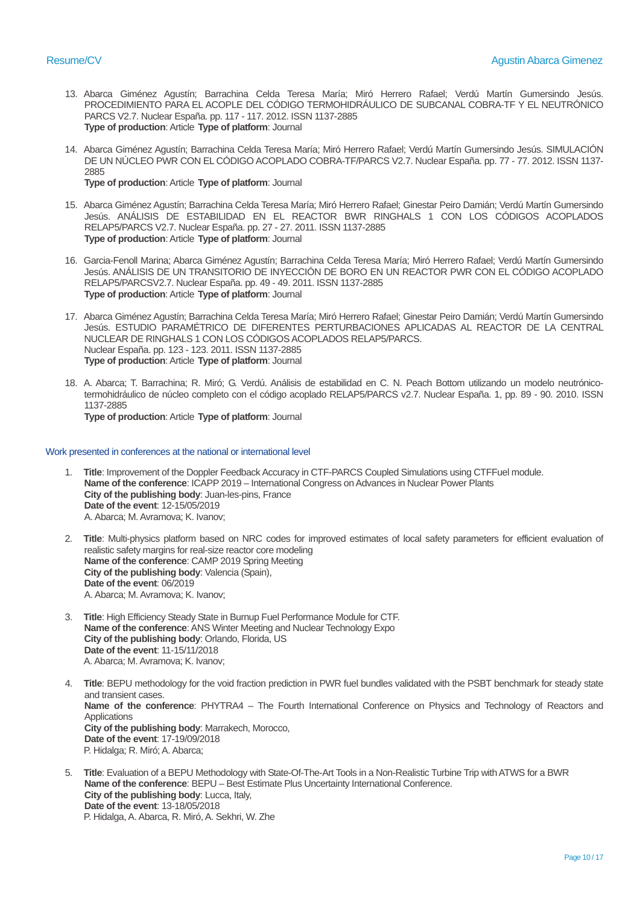- 13. Abarca Giménez Agustín; Barrachina Celda Teresa María; Miró Herrero Rafael; Verdú Martín Gumersindo Jesús. PROCEDIMIENTO PARA EL ACOPLE DEL CÓDIGO TERMOHIDRÁULICO DE SUBCANAL COBRA-TF Y EL NEUTRÓNICO PARCS V2.7. Nuclear España. pp. 117 - 117. 2012. ISSN 1137-2885 **Type of production**: Article **Type of platform**: Journal
- 14. Abarca Giménez Agustín; Barrachina Celda Teresa María; Miró Herrero Rafael; Verdú Martín Gumersindo Jesús. SIMULACIÓN DE UN NÚCLEO PWR CON EL CÓDIGO ACOPLADO COBRA-TF/PARCS V2.7. Nuclear España. pp. 77 - 77. 2012. ISSN 1137- 2885 **Type of production**: Article **Type of platform**: Journal
- 15. Abarca Giménez Agustín; Barrachina Celda Teresa María; Miró Herrero Rafael; Ginestar Peiro Damián; Verdú Martín Gumersindo Jesús. ANÁLISIS DE ESTABILIDAD EN EL REACTOR BWR RINGHALS 1 CON LOS CÓDIGOS ACOPLADOS RELAP5/PARCS V2.7. Nuclear España. pp. 27 - 27. 2011. ISSN 1137-2885 **Type of production**: Article **Type of platform**: Journal
- 16. Garcia-Fenoll Marina; Abarca Giménez Agustín; Barrachina Celda Teresa María; Miró Herrero Rafael; Verdú Martín Gumersindo Jesús. ANÁLISIS DE UN TRANSITORIO DE INYECCIÓN DE BORO EN UN REACTOR PWR CON EL CÓDIGO ACOPLADO RELAP5/PARCSV2.7. Nuclear España. pp. 49 - 49. 2011. ISSN 1137-2885 **Type of production**: Article **Type of platform**: Journal
- 17. Abarca Giménez Agustín; Barrachina Celda Teresa María; Miró Herrero Rafael; Ginestar Peiro Damián; Verdú Martín Gumersindo Jesús. ESTUDIO PARAMÉTRICO DE DIFERENTES PERTURBACIONES APLICADAS AL REACTOR DE LA CENTRAL NUCLEAR DE RINGHALS 1 CON LOS CÓDIGOS ACOPLADOS RELAP5/PARCS. Nuclear España. pp. 123 - 123. 2011. ISSN 1137-2885 **Type of production**: Article **Type of platform**: Journal
- 18. A. Abarca; T. Barrachina; R. Miró; G. Verdú. Análisis de estabilidad en C. N. Peach Bottom utilizando un modelo neutrónicotermohidráulico de núcleo completo con el código acoplado RELAP5/PARCS v2.7. Nuclear España. 1, pp. 89 - 90. 2010. ISSN 1137-2885 **Type of production**: Article **Type of platform**: Journal

#### Work presented in conferences at the national or international level

- 1. **Title**: Improvement of the Doppler Feedback Accuracy in CTF-PARCS Coupled Simulations using CTFFuel module. **Name of the conference**: ICAPP 2019 – International Congress on Advances in Nuclear Power Plants **City of the publishing body**: Juan-les-pins, France **Date of the event**: 12-15/05/2019 A.Abarca; M. Avramova; K. Ivanov;
- 2. **Title**: Multi-physics platform based on NRC codes for improved estimates of local safety parameters for efficient evaluation of realistic safety margins for real-size reactor core modeling **Name of the conference**: CAMP 2019 Spring Meeting **City of the publishing body**: Valencia (Spain), **Date of the event**: 06/2019 A.Abarca; M. Avramova; K. Ivanov;
- 3. **Title**: High Efficiency Steady State in Burnup Fuel Performance Module for CTF. **Name of the conference**: ANS Winter Meeting and Nuclear Technology Expo **City of the publishing body**: Orlando, Florida, US **Date of the event**: 11-15/11/2018 A. Abarca; M. Avramova; K. Ivanov;
- 4. **Title**: BEPU methodology for the void fraction prediction in PWR fuel bundles validated with the PSBT benchmark for steady state and transient cases. **Name of the conference**: PHYTRA4 – The Fourth International Conference on Physics and Technology of Reactors and Applications **City of the publishing body**: Marrakech, Morocco, **Date of the event**: 17-19/09/2018 P. Hidalga; R. Miró; A. Abarca;
- 5. **Title**: Evaluation of a BEPU Methodology with State-Of-The-Art Tools in a Non-Realistic Turbine Trip with ATWS for a BWR **Name of the conference**: BEPU – Best Estimate Plus Uncertainty International Conference. **City of the publishing body**: Lucca, Italy, **Date of the event**: 13-18/05/2018 P. Hidalga, A. Abarca, R. Miró, A. Sekhri, W. Zhe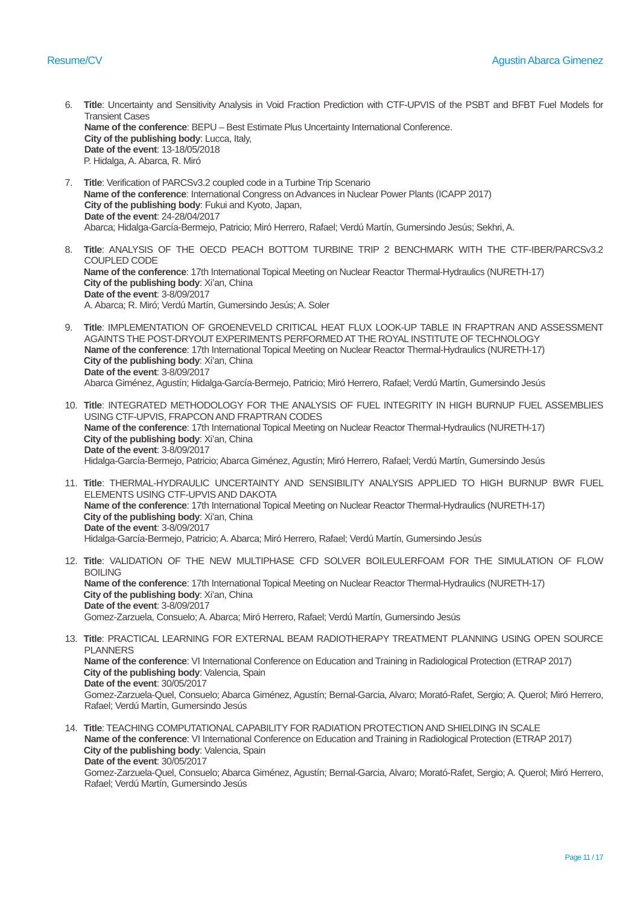- 6. **Title**: Uncertainty and Sensitivity Analysis in Void Fraction Prediction with CTF-UPVIS of the PSBT and BFBT Fuel Models for Transient Cases **Name of the conference**: BEPU – Best Estimate Plus Uncertainty International Conference. **City of the publishing body**: Lucca, Italy, **Date of the event**: 13-18/05/2018 P. Hidalga, A. Abarca, R. Miró
- 7. **Title**: Verification of PARCSv3.2 coupled code in a Turbine Trip Scenario **Name of the conference**: International Congress on Advances in Nuclear Power Plants (ICAPP 2017) **City of the publishing body**: Fukui and Kyoto, Japan, **Date of the event**: 24-28/04/2017 Abarca; Hidalga-García-Bermejo, Patricio; Miró Herrero, Rafael; Verdú Martín, Gumersindo Jesús; Sekhri, A.
- 8. **Title**: ANALYSIS OF THE OECD PEACH BOTTOM TURBINE TRIP 2 BENCHMARK WITH THE CTF-IBER/PARCSv3.2 COUPLED CODE **Name of the conference**: 17th International Topical Meeting on Nuclear Reactor Thermal-Hydraulics (NURETH-17) **City of the publishing body: Xi'an, China Date of the event**: 3-8/09/2017 A. Abarca; R. Miró; Verdú Martín, Gumersindo Jesús; A. Soler
- 9. **Title**: IMPLEMENTATION OF GROENEVELD CRITICAL HEAT FLUX LOOK-UP TABLE IN FRAPTRAN AND ASSESSMENT AGAINTS THE POST-DRYOUT EXPERIMENTS PERFORMED AT THE ROYAL INSTITUTE OF TECHNOLOGY **Name of the conference**: 17th International Topical Meeting on Nuclear Reactor Thermal-Hydraulics (NURETH-17) **City of the publishing body: Xi'an, China Date of the event**: 3-8/09/2017 Abarca Giménez, Agustín; Hidalga-García-Bermejo, Patricio; Miró Herrero, Rafael; Verdú Martín, Gumersindo Jesús
- 10. **Title**: INTEGRATED METHODOLOGY FOR THE ANALYSIS OF FUEL INTEGRITY IN HIGH BURNUP FUEL ASSEMBLIES USING CTF-UPVIS, FRAPCON AND FRAPTRAN CODES **Name of the conference**: 17th International Topical Meeting on Nuclear Reactor Thermal-Hydraulics (NURETH-17) **City of the publishing body: Xi'an, China Date of the event**: 3-8/09/2017 Hidalga-García-Bermejo, Patricio; Abarca Giménez, Agustín; Miró Herrero, Rafael; Verdú Martín, Gumersindo Jesús
- 11. **Title**: THERMAL-HYDRAULIC UNCERTAINTY AND SENSIBILITY ANALYSIS APPLIED TO HIGH BURNUP BWR FUEL ELEMENTS USING CTF-UPVIS AND DAKOTA **Name of the conference**: 17th International Topical Meeting on Nuclear Reactor Thermal-Hydraulics (NURETH-17) **City of the publishing body: Xi'an, China Date of the event**: 3-8/09/2017 Hidalga-García-Bermejo, Patricio; A. Abarca; Miró Herrero, Rafael; Verdú Martín, Gumersindo Jesús
- 12. **Title**: VALIDATION OF THE NEW MULTIPHASE CFD SOLVER BOILEULERFOAM FOR THE SIMULATION OF FLOW BOILING **Name of the conference**: 17th International Topical Meeting on Nuclear Reactor Thermal-Hydraulics (NURETH-17) **City of the publishing body: Xi'an, China Date of the event**: 3-8/09/2017 Gomez-Zarzuela, Consuelo;A. Abarca; Miró Herrero, Rafael; Verdú Martín, Gumersindo Jesús
- 13. **Title**: PRACTICAL LEARNING FOR EXTERNAL BEAM RADIOTHERAPY TREATMENT PLANNING USING OPEN SOURCE PLANNERS **Name of the conference**: VI International Conference on Education and Training in Radiological Protection (ETRAP 2017) **City of the publishing body**: Valencia, Spain **Date of the event**: 30/05/2017 Gomez-Zarzuela-Quel, Consuelo; Abarca Giménez, Agustín; Bernal-Garcia, Alvaro; Morató-Rafet, Sergio; A. Querol; Miró Herrero, Rafael; Verdú Martín, Gumersindo Jesús
- 14. **Title**: TEACHING COMPUTATIONAL CAPABILITY FOR RADIATION PROTECTION AND SHIELDING IN SCALE **Name of the conference**: VI International Conference on Education and Training in Radiological Protection (ETRAP 2017) **City of the publishing body**: Valencia, Spain **Date of the event**: 30/05/2017 Gomez-Zarzuela-Quel, Consuelo; Abarca Giménez, Agustín; Bernal-Garcia, Alvaro; Morató-Rafet, Sergio; A. Querol; Miró Herrero, Rafael; Verdú Martín, Gumersindo Jesús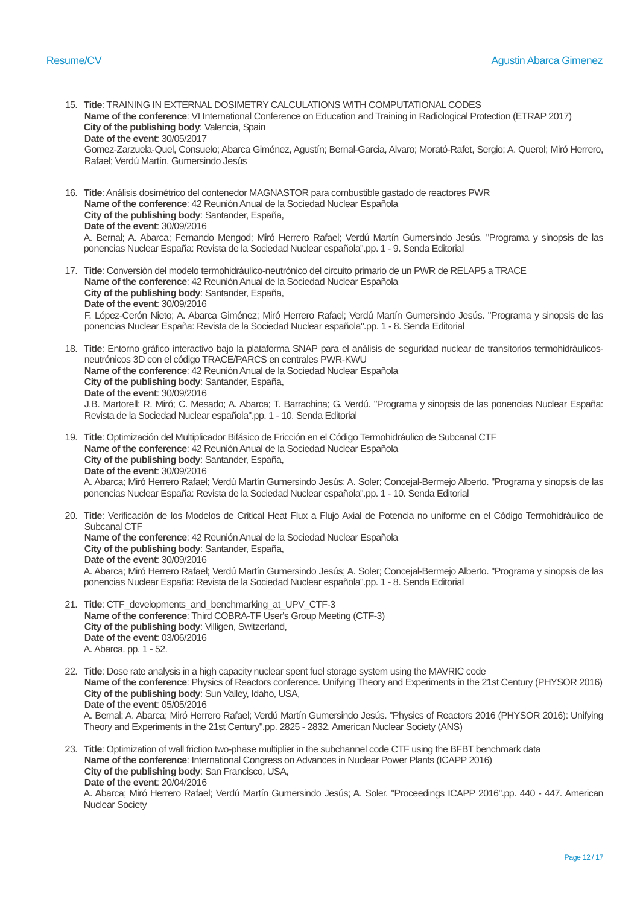- 15. **Title**: TRAINING IN EXTERNAL DOSIMETRY CALCULATIONS WITH COMPUTATIONAL CODES **Name of the conference**: VI International Conference on Education and Training in Radiological Protection (ETRAP 2017) **City of the publishing body**: Valencia, Spain **Date of the event**: 30/05/2017 Gomez-Zarzuela-Quel, Consuelo; Abarca Giménez, Agustín; Bernal-Garcia, Alvaro; Morató-Rafet, Sergio; A. Querol; Miró Herrero, Rafael; Verdú Martín, Gumersindo Jesús
- 16. **Title**: Análisis dosimétrico del contenedor MAGNASTOR para combustible gastado de reactores PWR **Name of the conference**: 42 Reunión Anual de la Sociedad Nuclear Española **City of the publishing body**: Santander, España, **Date of the event**: 30/09/2016 A. Bernal; A. Abarca; Fernando Mengod; Miró Herrero Rafael; Verdú Martín Gumersindo Jesús. "Programa y sinopsis de las ponencias Nuclear España: Revista de la Sociedad Nuclear española".pp. 1 - 9. Senda Editorial
- 17. **Title**: Conversión del modelo termohidráulico-neutrónico del circuito primario de un PWR de RELAP5 a TRACE **Name of the conference**: 42 Reunión Anual de la Sociedad Nuclear Española **City of the publishing body**: Santander, España, **Date of the event**: 30/09/2016 F. López-Cerón Nieto; A. Abarca Giménez; Miró Herrero Rafael; Verdú Martín Gumersindo Jesús. "Programa y sinopsis de las ponencias Nuclear España: Revista de la Sociedad Nuclear española".pp. 1 - 8. Senda Editorial
- 18. **Title**: Entorno gráfico interactivo bajo la plataforma SNAP para el análisis de seguridad nuclear de transitorios termohidráulicosneutrónicos 3D con el código TRACE/PARCS en centrales PWR-KWU **Name of the conference**: 42 Reunión Anual de la Sociedad Nuclear Española **City of the publishing body**: Santander, España, **Date of the event**: 30/09/2016 J.B. Martorell; R. Miró; C. Mesado; A. Abarca; T. Barrachina; G. Verdú. "Programa y sinopsis de las ponencias Nuclear España: Revista de la Sociedad Nuclear española".pp. 1 - 10. Senda Editorial
- 19. **Title**: Optimización del Multiplicador Bifásico de Fricción en el Código Termohidráulico de Subcanal CTF **Name of the conference**: 42 Reunión Anual de la Sociedad Nuclear Española **City of the publishing body**: Santander, España, **Date of the event**: 30/09/2016 A. Abarca; Miró Herrero Rafael; Verdú Martín Gumersindo Jesús; A. Soler; Concejal-Bermejo Alberto. "Programa y sinopsis de las ponencias Nuclear España: Revista de la Sociedad Nuclear española".pp. 1 - 10. Senda Editorial
- 20. **Title**: Verificación de los Modelos de Critical Heat Flux a Flujo Axial de Potencia no uniforme en el Código Termohidráulico de Subcanal CTF **Name of the conference**: 42 Reunión Anual de la Sociedad Nuclear Española **City of the publishing body**: Santander, España, **Date of the event**: 30/09/2016 A. Abarca; Miró Herrero Rafael; Verdú Martín Gumersindo Jesús; A. Soler; Concejal-Bermejo Alberto. "Programa y sinopsis de las ponencias Nuclear España: Revista de la Sociedad Nuclear española".pp. 1 - 8. Senda Editorial
- 21. **Title**: CTF\_developments\_and\_benchmarking\_at\_UPV\_CTF-3 **Name of the conference**: Third COBRA-TF User's Group Meeting (CTF-3) **City of the publishing body**: Villigen, Switzerland, **Date of the event**: 03/06/2016 A. Abarca. pp. 1 - 52.
- 22. **Title**: Dose rate analysis in a high capacity nuclear spent fuel storage system using the MAVRIC code **Name of the conference**: Physics of Reactors conference. Unifying Theory and Experiments in the 21st Century (PHYSOR 2016) **City of the publishing body**: Sun Valley, Idaho, USA, **Date of the event**: 05/05/2016 A. Bernal; A. Abarca; Miró Herrero Rafael; Verdú Martín Gumersindo Jesús. "Physics of Reactors 2016 (PHYSOR 2016): Unifying Theory and Experiments in the 21st Century".pp. 2825 - 2832. American Nuclear Society (ANS)
- 23. **Title**: Optimization of wall friction two-phase multiplier in the subchannel code CTF using the BFBT benchmark data **Name of the conference**: International Congress on Advances in Nuclear Power Plants (ICAPP 2016) **City of the publishing body**: San Francisco, USA, **Date of the event**: 20/04/2016 A. Abarca; Miró Herrero Rafael; Verdú Martín Gumersindo Jesús; A. Soler. "Proceedings ICAPP 2016".pp. 440 - 447. American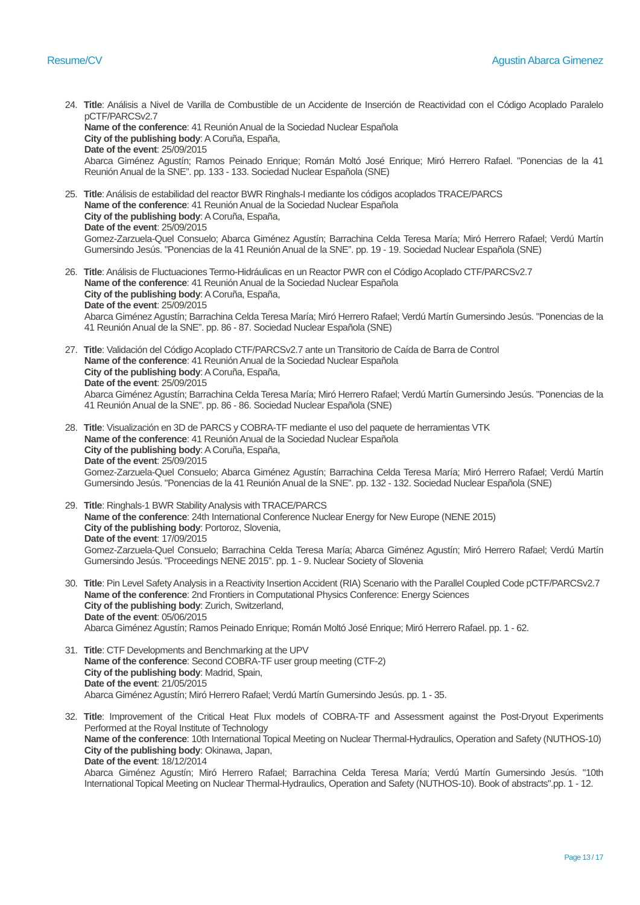- 24. **Title**: Análisis a Nivel de Varilla de Combustible de un Accidente de Inserción de Reactividad con el Código Acoplado Paralelo pCTF/PARCSv2.7 **Name of the conference**: 41 Reunión Anual de la Sociedad Nuclear Española **City of the publishing body**: A Coruña, España, **Date of the event**: 25/09/2015 Abarca Giménez Agustín; Ramos Peinado Enrique; Román Moltó José Enrique; Miró Herrero Rafael. "Ponencias de la 41 Reunión Anual de la SNE". pp. 133 - 133. Sociedad Nuclear Española (SNE)
- 25. **Title**: Análisis de estabilidad del reactor BWR Ringhals-I mediante los códigos acoplados TRACE/PARCS **Name of the conference**: 41 Reunión Anual de la Sociedad Nuclear Española **City of the publishing body**: A Coruña, España, **Date of the event**: 25/09/2015 Gomez-Zarzuela-Quel Consuelo; Abarca Giménez Agustín; Barrachina Celda Teresa María; Miró Herrero Rafael; Verdú Martín Gumersindo Jesús. "Ponencias de la 41 Reunión Anual de la SNE". pp. 19 - 19. Sociedad Nuclear Española (SNE)
- 26. **Title**: Análisis de Fluctuaciones Termo-Hidráulicas en un Reactor PWR con el Código Acoplado CTF/PARCSv2.7 **Name of the conference**: 41 Reunión Anual de la Sociedad Nuclear Española **City of the publishing body**: A Coruña, España, **Date of the event**: 25/09/2015 Abarca Giménez Agustín; Barrachina Celda Teresa María; Miró Herrero Rafael; Verdú Martín Gumersindo Jesús. "Ponencias de la 41 Reunión Anual de la SNE". pp. 86 - 87. Sociedad Nuclear Española (SNE)
- 27. **Title**: Validación del Código Acoplado CTF/PARCSv2.7 ante un Transitorio de Caída de Barra de Control **Name of the conference**: 41 Reunión Anual de la Sociedad Nuclear Española **City of the publishing body**: A Coruña, España, **Date of the event**: 25/09/2015 Abarca Giménez Agustín; Barrachina Celda Teresa María; Miró Herrero Rafael; Verdú Martín Gumersindo Jesús. "Ponencias de la 41 Reunión Anual de la SNE". pp. 86 - 86. Sociedad Nuclear Española (SNE)
- 28. **Title**: Visualización en 3D de PARCS y COBRA-TF mediante el uso del paquete de herramientas VTK **Name of the conference**: 41 Reunión Anual de la Sociedad Nuclear Española **City of the publishing body**: A Coruña, España, **Date of the event**: 25/09/2015 Gomez-Zarzuela-Quel Consuelo; Abarca Giménez Agustín; Barrachina Celda Teresa María; Miró Herrero Rafael; Verdú Martín Gumersindo Jesús. "Ponencias de la 41 Reunión Anual de la SNE". pp. 132 - 132. Sociedad Nuclear Española (SNE)
- 29. **Title**: Ringhals-1 BWR Stability Analysis with TRACE/PARCS **Name of the conference**: 24th International Conference Nuclear Energy for New Europe (NENE 2015) **City of the publishing body**: Portoroz, Slovenia, **Date of the event**: 17/09/2015 Gomez-Zarzuela-Quel Consuelo; Barrachina Celda Teresa María; Abarca Giménez Agustín; Miró Herrero Rafael; Verdú Martín Gumersindo Jesús. "Proceedings NENE 2015". pp. 1 - 9. Nuclear Society of Slovenia
- 30. **Title**: Pin Level Safety Analysis in a Reactivity Insertion Accident (RIA) Scenario with the Parallel Coupled Code pCTF/PARCSv2.7 **Name of the conference**: 2nd Frontiers in Computational Physics Conference: Energy Sciences **City of the publishing body**: Zurich, Switzerland, **Date of the event**: 05/06/2015 Abarca Giménez Agustín; Ramos Peinado Enrique; Román Moltó José Enrique; Miró Herrero Rafael. pp. 1 - 62.
- 31. **Title**: CTF Developments and Benchmarking at the UPV **Name of the conference**: Second COBRA-TF user group meeting (CTF-2) **City of the publishing body**: Madrid, Spain, **Date of the event**: 21/05/2015 Abarca Giménez Agustín; Miró Herrero Rafael; Verdú Martín Gumersindo Jesús. pp. 1 - 35.
- 32. **Title**: Improvement of the Critical Heat Flux models of COBRA-TF and Assessment against the Post-Dryout Experiments Performed at the Royal Institute of Technology **Name of the conference**: 10th International Topical Meeting on Nuclear Thermal-Hydraulics, Operation and Safety (NUTHOS-10) **City of the publishing body**: Okinawa, Japan, **Date of the event**: 18/12/2014 Abarca Giménez Agustín; Miró Herrero Rafael; Barrachina Celda Teresa María; Verdú Martín Gumersindo Jesús. "10th International Topical Meeting on Nuclear Thermal-Hydraulics, Operation and Safety (NUTHOS-10). Book of abstracts".pp. 1 - 12.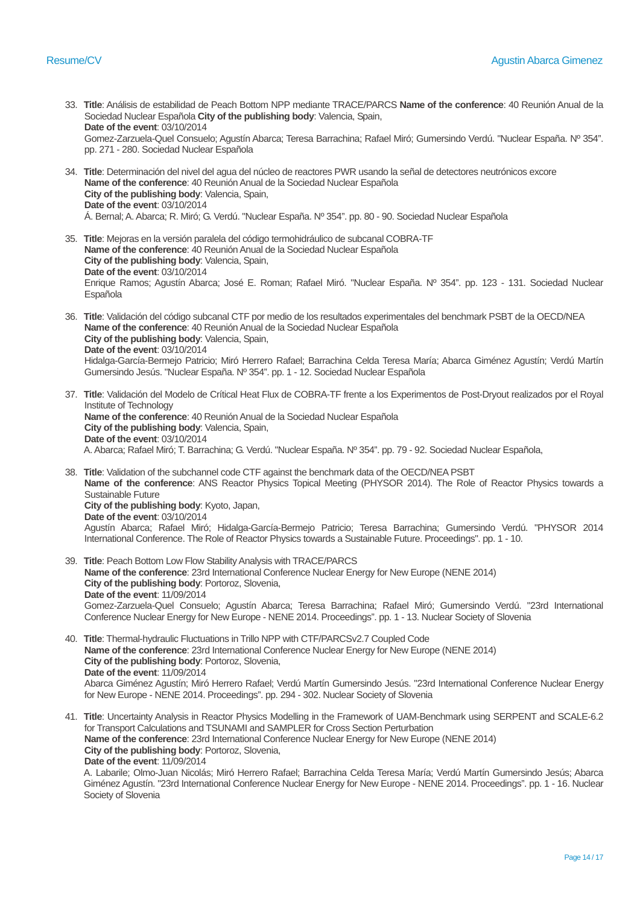- 33. **Title**: Análisis de estabilidad de Peach Bottom NPP mediante TRACE/PARCS **Name of the conference**: 40 Reunión Anual de la Sociedad Nuclear Española **City of the publishing body**: Valencia, Spain, **Date of the event**: 03/10/2014 Gomez-Zarzuela-Quel Consuelo; Agustín Abarca; Teresa Barrachina; Rafael Miró; Gumersindo Verdú. "Nuclear España. Nº 354". pp. 271 - 280. Sociedad Nuclear Española
- 34. **Title**: Determinación del nivel del agua del núcleo de reactores PWR usando la señal de detectores neutrónicos excore **Name of the conference**: 40 Reunión Anual de la Sociedad Nuclear Española **City of the publishing body**: Valencia, Spain, **Date of the event**: 03/10/2014 Á. Bernal; A. Abarca; R. Miró; G. Verdú. "Nuclear España. Nº 354". pp. 80 - 90. Sociedad Nuclear Española
- 35. **Title**: Mejoras en la versión paralela del código termohidráulico de subcanal COBRA-TF **Name of the conference**: 40 Reunión Anual de la Sociedad Nuclear Española **City of the publishing body**: Valencia, Spain, **Date of the event**: 03/10/2014 Enrique Ramos; Agustín Abarca; José E. Roman; Rafael Miró. "Nuclear España. Nº 354". pp. 123 - 131. Sociedad Nuclear Española
- 36. **Title**: Validación del código subcanal CTF por medio de los resultados experimentales del benchmark PSBT de la OECD/NEA **Name of the conference**: 40 Reunión Anual de la Sociedad Nuclear Española **City of the publishing body**: Valencia, Spain, **Date of the event**: 03/10/2014 Hidalga-García-Bermejo Patricio; Miró Herrero Rafael; Barrachina Celda Teresa María; Abarca Giménez Agustín; Verdú Martín Gumersindo Jesús. "Nuclear España. Nº 354". pp. 1 - 12. Sociedad Nuclear Española
- 37. **Title**: Validación del Modelo de Crítical Heat Flux de COBRA-TF frente a los Experimentos de Post-Dryout realizados por el Royal Institute of Technology **Name of the conference**: 40 Reunión Anual de la Sociedad Nuclear Española **City of the publishing body**: Valencia, Spain, **Date of the event**: 03/10/2014 A. Abarca; Rafael Miró; T. Barrachina; G. Verdú. "Nuclear España. Nº 354". pp. 79 - 92. Sociedad Nuclear Española,
- 38. **Title**: Validation of the subchannel code CTF against the benchmark data of the OECD/NEA PSBT **Name of the conference**: ANS Reactor Physics Topical Meeting (PHYSOR 2014). The Role of Reactor Physics towards a Sustainable Future **City of the publishing body**: Kyoto, Japan, **Date of the event**: 03/10/2014 Agustín Abarca; Rafael Miró; Hidalga-García-Bermejo Patricio; Teresa Barrachina; Gumersindo Verdú. "PHYSOR 2014
- 39. **Title**: Peach Bottom Low Flow Stability Analysis with TRACE/PARCS **Name of the conference**: 23rd International Conference Nuclear Energy for New Europe (NENE 2014) **City of the publishing body**: Portoroz, Slovenia, **Date of the event**: 11/09/2014 Gomez-Zarzuela-Quel Consuelo; Agustín Abarca; Teresa Barrachina; Rafael Miró; Gumersindo Verdú. "23rd International Conference Nuclear Energy for New Europe - NENE 2014. Proceedings". pp. 1 - 13. Nuclear Society of Slovenia

International Conference. The Role of Reactor Physics towards a Sustainable Future. Proceedings". pp. 1 - 10.

- 40. **Title**: Thermal-hydraulic Fluctuations in Trillo NPP with CTF/PARCSv2.7 Coupled Code **Name of the conference**: 23rd International Conference Nuclear Energy for New Europe (NENE 2014) **City of the publishing body**: Portoroz, Slovenia, **Date of the event**: 11/09/2014 Abarca Giménez Agustín; Miró Herrero Rafael; Verdú Martín Gumersindo Jesús. "23rd International Conference Nuclear Energy for New Europe - NENE 2014. Proceedings". pp. 294 - 302. Nuclear Society of Slovenia
- 41. **Title**: Uncertainty Analysis in Reactor Physics Modelling in the Framework of UAM-Benchmark using SERPENT and SCALE-6.2 for Transport Calculations and TSUNAMI and SAMPLER for Cross Section Perturbation **Name of the conference**: 23rd International Conference Nuclear Energy for New Europe (NENE 2014) **City of the publishing body**: Portoroz, Slovenia, **Date of the event**: 11/09/2014

A. Labarile; Olmo-Juan Nicolás; Miró Herrero Rafael; Barrachina Celda Teresa María; Verdú Martín Gumersindo Jesús; Abarca Giménez Agustín. "23rd International Conference Nuclear Energy for New Europe - NENE 2014. Proceedings". pp. 1 - 16. Nuclear Society of Slovenia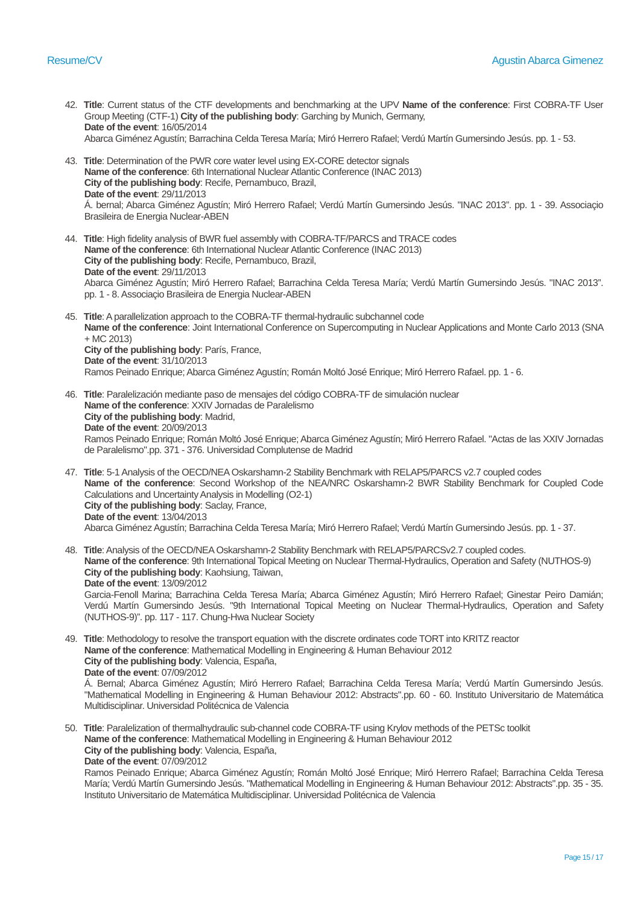- 42. **Title**: Current status of the CTF developments and benchmarking at the UPV **Name of the conference**: First COBRA-TF User Group Meeting (CTF-1) **City of the publishing body**: Garching by Munich, Germany, **Date of the event**: 16/05/2014 Abarca Giménez Agustín; Barrachina Celda Teresa María; Miró Herrero Rafael; Verdú Martín Gumersindo Jesús. pp. 1 - 53.
- 43. **Title**: Determination of the PWR core water level using EX-CORE detector signals **Name of the conference**: 6th International Nuclear Atlantic Conference (INAC 2013) **City of the publishing body**: Recife, Pernambuco, Brazil, **Date of the event**: 29/11/2013 Á. bernal; Abarca Giménez Agustín; Miró Herrero Rafael; Verdú Martín Gumersindo Jesús. "INAC 2013". pp. 1 - 39. Associaçio Brasileira de Energia Nuclear-ABEN
- 44. **Title**: High fidelity analysis of BWR fuel assembly with COBRA-TF/PARCS and TRACE codes **Name of the conference**: 6th International Nuclear Atlantic Conference (INAC 2013) **City of the publishing body**: Recife, Pernambuco, Brazil, **Date of the event**: 29/11/2013 Abarca Giménez Agustín; Miró Herrero Rafael; Barrachina Celda Teresa María; Verdú Martín Gumersindo Jesús. "INAC 2013". pp. 1 - 8. Associaçio Brasileira de Energia Nuclear-ABEN
- 45. **Title**: A parallelization approach to the COBRA-TF thermal-hydraulic subchannel code **Name of the conference**: Joint International Conference on Supercomputing in Nuclear Applications and Monte Carlo 2013 (SNA + MC 2013) **City of the publishing body**: París, France, **Date of the event**: 31/10/2013 Ramos Peinado Enrique; Abarca Giménez Agustín; Román Moltó José Enrique; Miró Herrero Rafael. pp. 1 - 6.
- 46. **Title**: Paralelización mediante paso de mensajes del código COBRA-TF de simulación nuclear **Name of the conference**: XXIV Jornadas de Paralelismo **City of the publishing body**: Madrid, **Date of the event**: 20/09/2013 Ramos Peinado Enrique; Román Moltó José Enrique; Abarca Giménez Agustín; Miró Herrero Rafael. "Actas de las XXIV Jornadas de Paralelismo".pp. 371 - 376. Universidad Complutense de Madrid
- 47. **Title**: 5-1 Analysis of the OECD/NEA Oskarshamn-2 Stability Benchmark with RELAP5/PARCS v2.7 coupled codes **Name of the conference**: Second Workshop of the NEA/NRC Oskarshamn-2 BWR Stability Benchmark for Coupled Code Calculations and Uncertainty Analysis in Modelling (O2-1) **City of the publishing body**: Saclay, France, **Date of the event**: 13/04/2013 Abarca Giménez Agustín; Barrachina Celda Teresa María; Miró Herrero Rafael; Verdú Martín Gumersindo Jesús. pp. 1 - 37.

48. **Title**: Analysis of the OECD/NEA Oskarshamn-2 Stability Benchmark with RELAP5/PARCSv2.7 coupled codes. **Name of the conference**: 9th International Topical Meeting on Nuclear Thermal-Hydraulics, Operation and Safety (NUTHOS-9) **City of the publishing body**: Kaohsiung, Taiwan, **Date of the event**: 13/09/2012 Garcia-Fenoll Marina; Barrachina Celda Teresa María; Abarca Giménez Agustín; Miró Herrero Rafael; Ginestar Peiro Damián; Verdú Martín Gumersindo Jesús. "9th International Topical Meeting on Nuclear Thermal-Hydraulics, Operation and Safety (NUTHOS-9)". pp. 117 - 117. Chung-Hwa Nuclear Society

- 49. **Title**: Methodology to resolve the transport equation with the discrete ordinates code TORT into KRITZ reactor **Name of the conference**: Mathematical Modelling in Engineering & Human Behaviour 2012 **City of the publishing body**: Valencia, España, **Date of the event**: 07/09/2012 Á. Bernal; Abarca Giménez Agustín; Miró Herrero Rafael; Barrachina Celda Teresa María; Verdú Martín Gumersindo Jesús. "Mathematical Modelling in Engineering & Human Behaviour 2012: Abstracts".pp. 60 - 60. Instituto Universitario de Matemática Multidisciplinar. Universidad Politécnica de Valencia
- 50. **Title**: Paralelization of thermalhydraulic sub-channel code COBRA-TF using Krylov methods of the PETSc toolkit **Name of the conference**: Mathematical Modelling in Engineering & Human Behaviour 2012 **City of the publishing body**: Valencia, España, **Date of the event**: 07/09/2012

Ramos Peinado Enrique; Abarca Giménez Agustín; Román Moltó José Enrique; Miró Herrero Rafael; Barrachina Celda Teresa María; Verdú Martín Gumersindo Jesús. "Mathematical Modelling in Engineering & Human Behaviour 2012: Abstracts".pp. 35 - 35. Instituto Universitario de Matemática Multidisciplinar. Universidad Politécnica de Valencia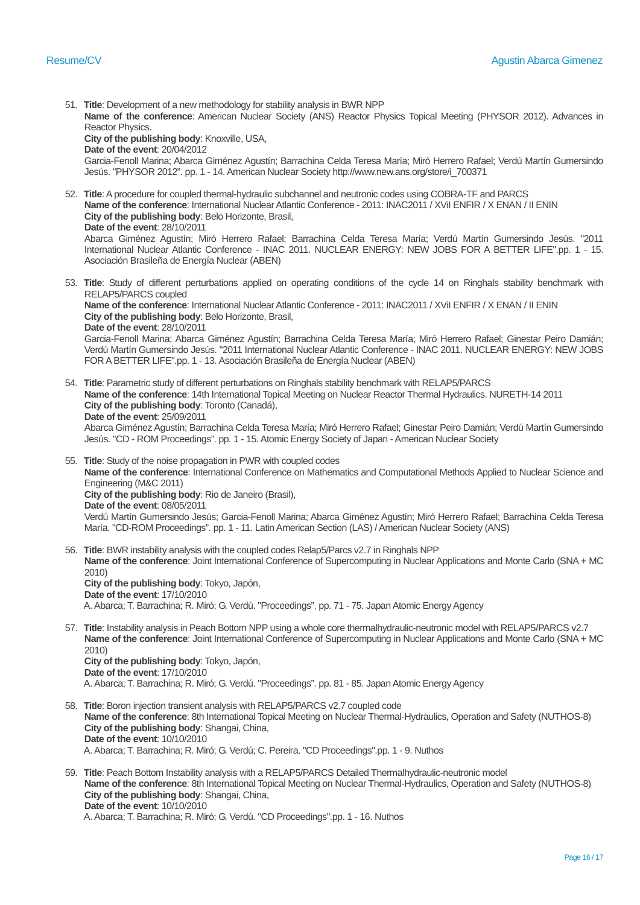**Name of the conference**: American Nuclear Society (ANS) Reactor Physics Topical Meeting (PHYSOR 2012). Advances in Reactor Physics. **City of the publishing body**: Knoxville, USA, **Date of the event**: 20/04/2012 Garcia-Fenoll Marina; Abarca Giménez Agustín; Barrachina Celda Teresa María; Miró Herrero Rafael; Verdú Martín Gumersindo Jesús. "PHYSOR 2012". pp. 1 - 14. American Nuclear Society http://www.new.ans.org/store/i\_700371 52. **Title**: A procedure for coupled thermal-hydraulic subchannel and neutronic codes using COBRA-TF and PARCS **Name of the conference**: International Nuclear Atlantic Conference - 2011: INAC2011 / XViI ENFIR / X ENAN / II ENIN **City of the publishing body**: Belo Horizonte, Brasil, **Date of the event**: 28/10/2011 Abarca Giménez Agustín; Miró Herrero Rafael; Barrachina Celda Teresa María; Verdú Martín Gumersindo Jesús. "2011 International Nuclear Atlantic Conference - INAC 2011. NUCLEAR ENERGY: NEW JOBS FOR A BETTER LIFE".pp. 1 - 15. Asociación Brasileña de Energía Nuclear (ABEN) 53. **Title**: Study of different perturbations applied on operating conditions of the cycle 14 on Ringhals stability benchmark with RELAP5/PARCS coupled **Name of the conference**: International Nuclear Atlantic Conference - 2011: INAC2011 / XViI ENFIR / X ENAN / II ENIN **City of the publishing body**: Belo Horizonte, Brasil, **Date of the event**: 28/10/2011 Garcia-Fenoll Marina; Abarca Giménez Agustín; Barrachina Celda Teresa María; Miró Herrero Rafael; Ginestar Peiro Damián; Verdú Martín Gumersindo Jesús. "2011 International Nuclear Atlantic Conference - INAC 2011. NUCLEAR ENERGY: NEW JOBS FOR A BETTER LIFE".pp. 1 - 13. Asociación Brasileña de Energía Nuclear (ABEN) 54. **Title**: Parametric study of different perturbations on Ringhals stability benchmark with RELAP5/PARCS **Name of the conference**: 14th International Topical Meeting on Nuclear Reactor Thermal Hydraulics. NURETH-14 2011 **City of the publishing body**: Toronto (Canadá), **Date of the event**: 25/09/2011 Abarca Giménez Agustín; Barrachina Celda Teresa María; Miró Herrero Rafael; Ginestar Peiro Damián; Verdú Martín Gumersindo Jesús. "CD - ROM Proceedings". pp. 1 - 15. Atomic Energy Society of Japan - American Nuclear Society 55. **Title**: Study of the noise propagation in PWR with coupled codes **Name of the conference**: International Conference on Mathematics and Computational Methods Applied to Nuclear Science and Engineering (M&C 2011)

**City of the publishing body**: Rio de Janeiro (Brasil), **Date of the event**: 08/05/2011

51. **Title**: Development of a new methodology for stability analysis in BWR NPP

Verdú Martín Gumersindo Jesús; Garcia-Fenoll Marina; Abarca Giménez Agustín; Miró Herrero Rafael; Barrachina Celda Teresa María. "CD-ROM Proceedings". pp. 1 - 11. Latin American Section (LAS) / American Nuclear Society (ANS)

56. **Title**: BWR instability analysis with the coupled codes Relap5/Parcs v2.7 in Ringhals NPP **Name of the conference**: Joint International Conference of Supercomputing in Nuclear Applications and Monte Carlo (SNA + MC 2010) **City of the publishing body**: Tokyo, Japón, **Date of the event**: 17/10/2010

A. Abarca; T. Barrachina; R. Miró; G. Verdú. "Proceedings". pp. 71 - 75. Japan Atomic Energy Agency

57. **Title**: Instability analysis in Peach Bottom NPP using a whole core thermalhydraulic-neutronic model with RELAP5/PARCS v2.7 **Name of the conference**: Joint International Conference of Supercomputing in Nuclear Applications and Monte Carlo (SNA + MC 2010)

**City of the publishing body**: Tokyo, Japón, **Date of the event**: 17/10/2010 A. Abarca; T. Barrachina; R. Miró; G. Verdú. "Proceedings". pp. 81 - 85. Japan Atomic Energy Agency

- 58. **Title**: Boron injection transient analysis with RELAP5/PARCS v2.7 coupled code **Name of the conference**: 8th International Topical Meeting on Nuclear Thermal-Hydraulics, Operation and Safety (NUTHOS-8) **City of the publishing body**: Shangai, China, **Date of the event**: 10/10/2010 A. Abarca; T. Barrachina; R. Miró; G. Verdú; C. Pereira. "CD Proceedings".pp. 1 - 9. Nuthos
- 59. **Title**: Peach Bottom Instability analysis with a RELAP5/PARCS Detailed Thermalhydraulic-neutronic model **Name of the conference**: 8th International Topical Meeting on Nuclear Thermal-Hydraulics, Operation and Safety (NUTHOS-8) **City of the publishing body**: Shangai, China, **Date of the event**: 10/10/2010 A. Abarca; T. Barrachina; R. Miró; G. Verdú. "CD Proceedings".pp. 1 - 16. Nuthos